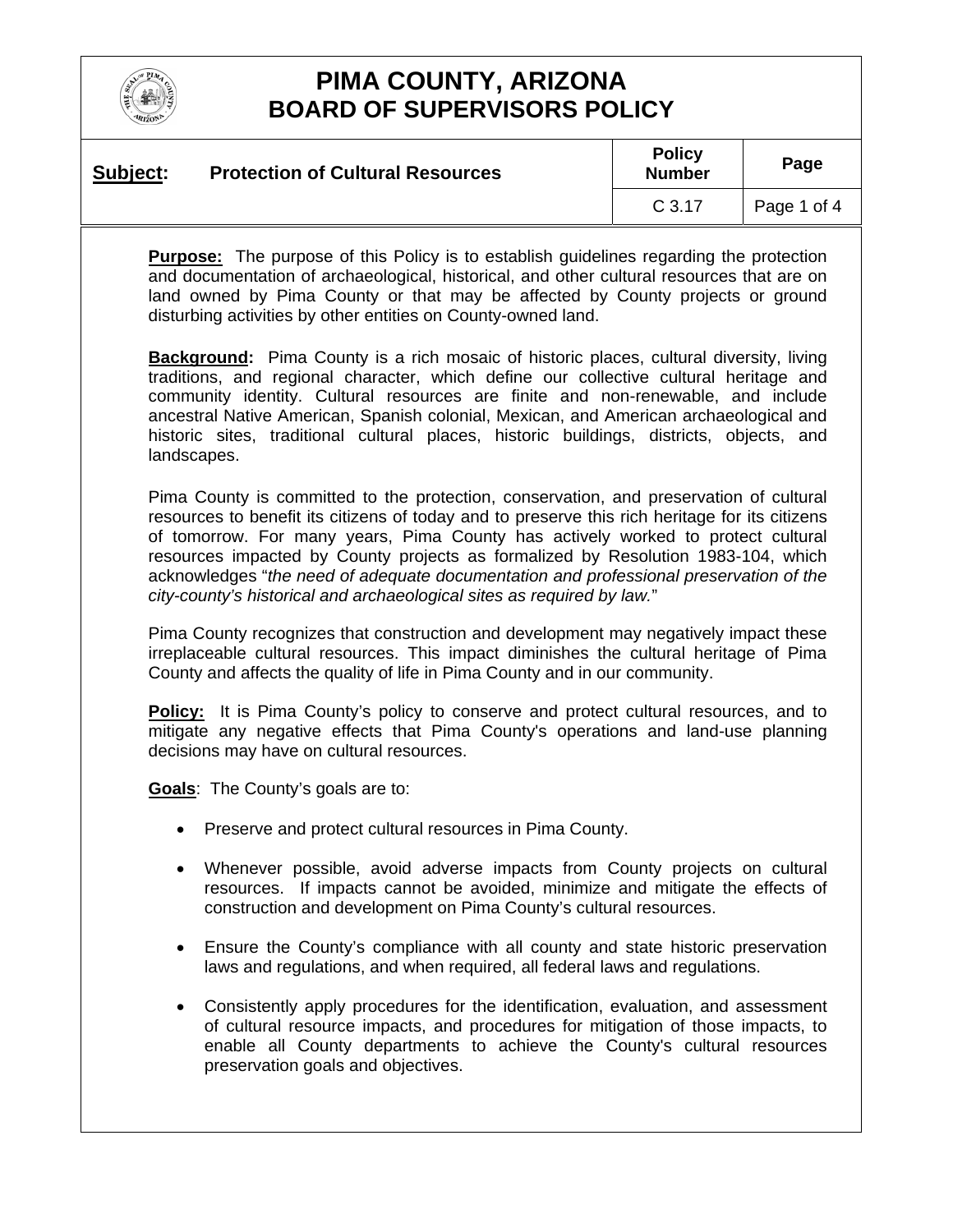

| Subject: | <b>Protection of Cultural Resources</b> | <b>Policy</b><br><b>Number</b> | Page        |
|----------|-----------------------------------------|--------------------------------|-------------|
|          |                                         | C <sub>3.17</sub>              | Page 1 of 4 |

**Purpose:** The purpose of this Policy is to establish guidelines regarding the protection and documentation of archaeological, historical, and other cultural resources that are on land owned by Pima County or that may be affected by County projects or ground disturbing activities by other entities on County-owned land.

**Background:** Pima County is a rich mosaic of historic places, cultural diversity, living traditions, and regional character, which define our collective cultural heritage and community identity. Cultural resources are finite and non-renewable, and include ancestral Native American, Spanish colonial, Mexican, and American archaeological and historic sites, traditional cultural places, historic buildings, districts, objects, and landscapes.

Pima County is committed to the protection, conservation, and preservation of cultural resources to benefit its citizens of today and to preserve this rich heritage for its citizens of tomorrow. For many years, Pima County has actively worked to protect cultural resources impacted by County projects as formalized by Resolution 1983-104, which acknowledges "*the need of adequate documentation and professional preservation of the city-county's historical and archaeological sites as required by law.*"

Pima County recognizes that construction and development may negatively impact these irreplaceable cultural resources. This impact diminishes the cultural heritage of Pima County and affects the quality of life in Pima County and in our community.

**Policy:** It is Pima County's policy to conserve and protect cultural resources, and to mitigate any negative effects that Pima County's operations and land-use planning decisions may have on cultural resources.

**Goals**: The County's goals are to:

- Preserve and protect cultural resources in Pima County.
- Whenever possible, avoid adverse impacts from County projects on cultural resources. If impacts cannot be avoided, minimize and mitigate the effects of construction and development on Pima County's cultural resources.
- Ensure the County's compliance with all county and state historic preservation laws and regulations, and when required, all federal laws and regulations.
- Consistently apply procedures for the identification, evaluation, and assessment of cultural resource impacts, and procedures for mitigation of those impacts, to enable all County departments to achieve the County's cultural resources preservation goals and objectives.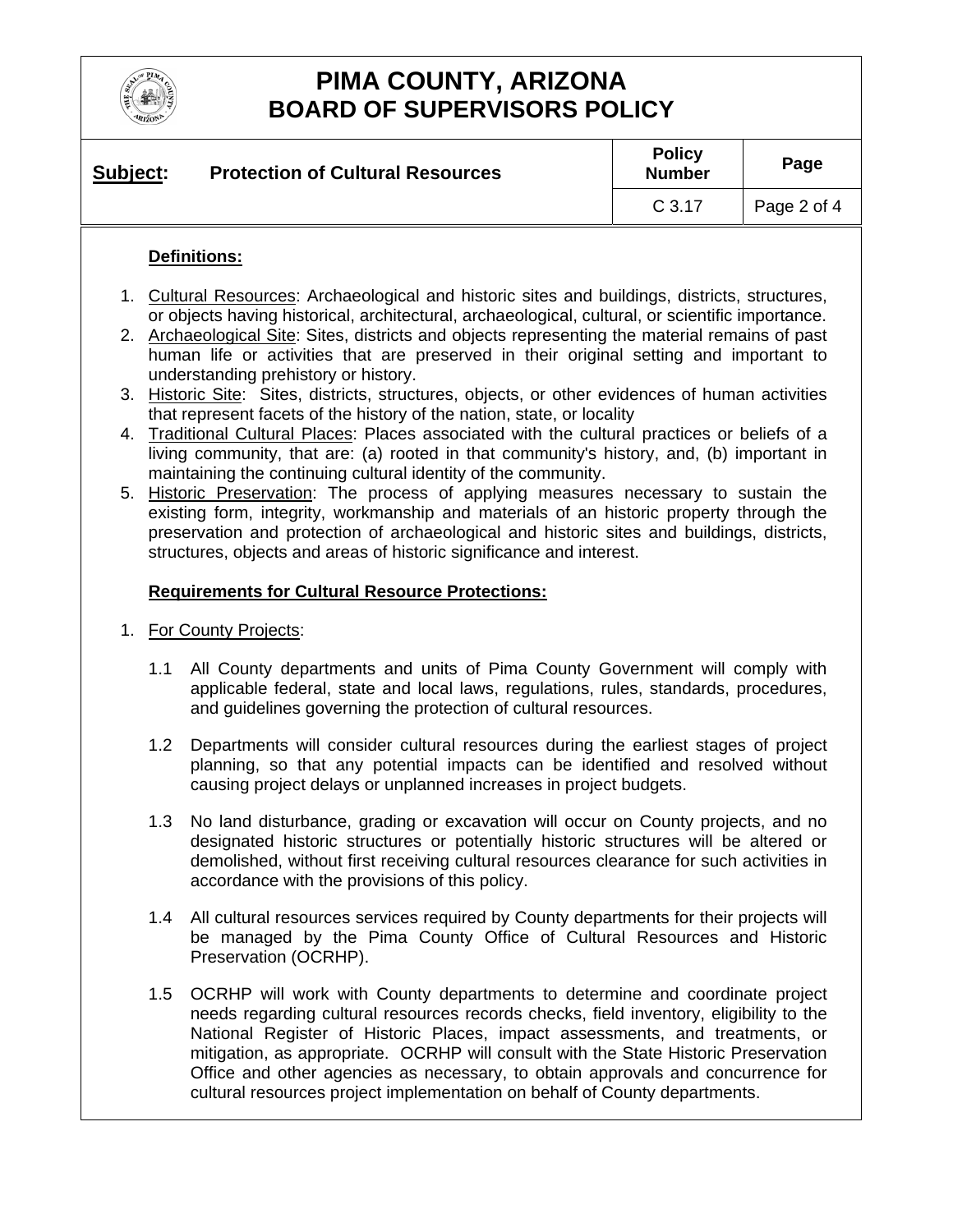

| Subject: | <b>Protection of Cultural Resources</b> | <b>Policy</b><br><b>Number</b> | Page        |
|----------|-----------------------------------------|--------------------------------|-------------|
|          |                                         | C <sub>3.17</sub>              | Page 2 of 4 |

### **Definitions:**

- 1. Cultural Resources: Archaeological and historic sites and buildings, districts, structures, or objects having historical, architectural, archaeological, cultural, or scientific importance.
- 2. Archaeological Site: Sites, districts and objects representing the material remains of past human life or activities that are preserved in their original setting and important to understanding prehistory or history.
- 3. Historic Site: Sites, districts, structures, objects, or other evidences of human activities that represent facets of the history of the nation, state, or locality
- 4. Traditional Cultural Places: Places associated with the cultural practices or beliefs of a living community, that are: (a) rooted in that community's history, and, (b) important in maintaining the continuing cultural identity of the community.
- 5. Historic Preservation: The process of applying measures necessary to sustain the existing form, integrity, workmanship and materials of an historic property through the preservation and protection of archaeological and historic sites and buildings, districts, structures, objects and areas of historic significance and interest.

### **Requirements for Cultural Resource Protections:**

- 1. For County Projects:
	- 1.1 All County departments and units of Pima County Government will comply with applicable federal, state and local laws, regulations, rules, standards, procedures, and guidelines governing the protection of cultural resources.
	- 1.2 Departments will consider cultural resources during the earliest stages of project planning, so that any potential impacts can be identified and resolved without causing project delays or unplanned increases in project budgets.
	- 1.3 No land disturbance, grading or excavation will occur on County projects, and no designated historic structures or potentially historic structures will be altered or demolished, without first receiving cultural resources clearance for such activities in accordance with the provisions of this policy.
	- 1.4 All cultural resources services required by County departments for their projects will be managed by the Pima County Office of Cultural Resources and Historic Preservation (OCRHP).
	- 1.5 OCRHP will work with County departments to determine and coordinate project needs regarding cultural resources records checks, field inventory, eligibility to the National Register of Historic Places, impact assessments, and treatments, or mitigation, as appropriate. OCRHP will consult with the State Historic Preservation Office and other agencies as necessary, to obtain approvals and concurrence for cultural resources project implementation on behalf of County departments.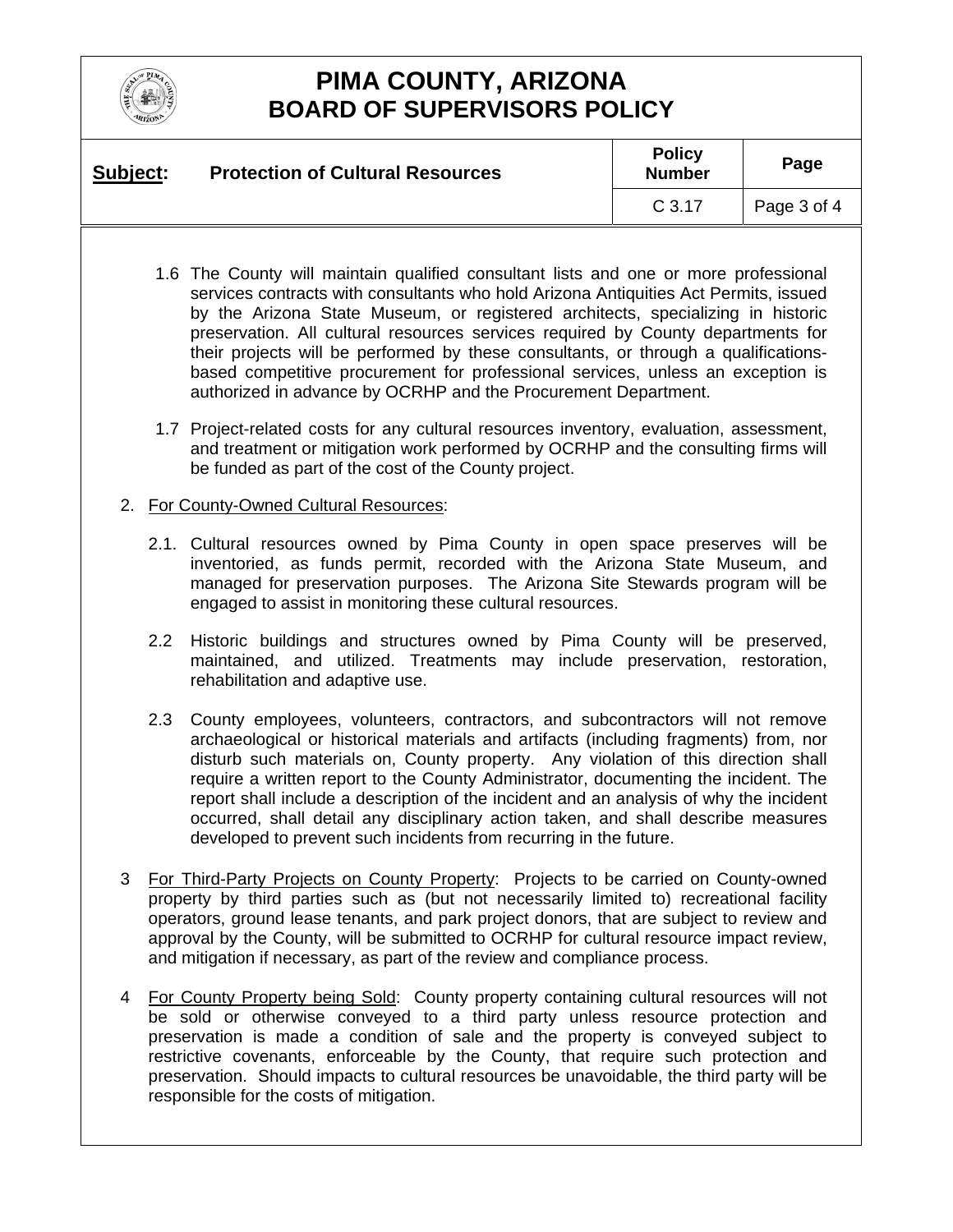

| Subject: | <b>Protection of Cultural Resources</b> | <b>Policy</b><br><b>Number</b> | Page        |
|----------|-----------------------------------------|--------------------------------|-------------|
|          |                                         | C <sub>3.17</sub>              | Page 3 of 4 |

- 1.6 The County will maintain qualified consultant lists and one or more professional services contracts with consultants who hold Arizona Antiquities Act Permits, issued by the Arizona State Museum, or registered architects, specializing in historic preservation. All cultural resources services required by County departments for their projects will be performed by these consultants, or through a qualificationsbased competitive procurement for professional services, unless an exception is authorized in advance by OCRHP and the Procurement Department.
- 1.7 Project-related costs for any cultural resources inventory, evaluation, assessment, and treatment or mitigation work performed by OCRHP and the consulting firms will be funded as part of the cost of the County project.

#### 2. For County-Owned Cultural Resources:

- 2.1. Cultural resources owned by Pima County in open space preserves will be inventoried, as funds permit, recorded with the Arizona State Museum, and managed for preservation purposes. The Arizona Site Stewards program will be engaged to assist in monitoring these cultural resources.
- 2.2 Historic buildings and structures owned by Pima County will be preserved, maintained, and utilized. Treatments may include preservation, restoration, rehabilitation and adaptive use.
- 2.3 County employees, volunteers, contractors, and subcontractors will not remove archaeological or historical materials and artifacts (including fragments) from, nor disturb such materials on, County property. Any violation of this direction shall require a written report to the County Administrator, documenting the incident. The report shall include a description of the incident and an analysis of why the incident occurred, shall detail any disciplinary action taken, and shall describe measures developed to prevent such incidents from recurring in the future.
- 3 For Third-Party Projects on County Property: Projects to be carried on County-owned property by third parties such as (but not necessarily limited to) recreational facility operators, ground lease tenants, and park project donors, that are subject to review and approval by the County, will be submitted to OCRHP for cultural resource impact review, and mitigation if necessary, as part of the review and compliance process.
- 4 For County Property being Sold: County property containing cultural resources will not be sold or otherwise conveyed to a third party unless resource protection and preservation is made a condition of sale and the property is conveyed subject to restrictive covenants, enforceable by the County, that require such protection and preservation. Should impacts to cultural resources be unavoidable, the third party will be responsible for the costs of mitigation.